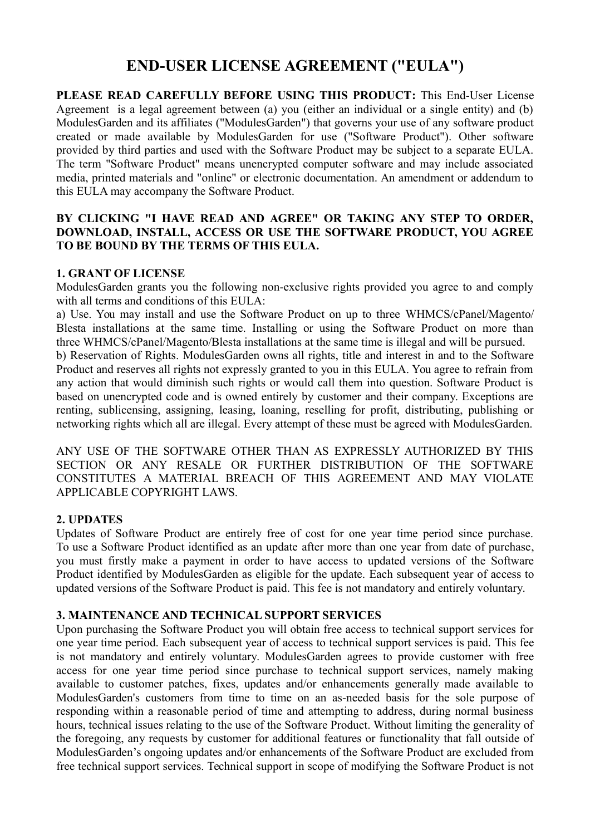# **END-USER LICENSE AGREEMENT ("EULA")**

**PLEASE READ CAREFULLY BEFORE USING THIS PRODUCT:** This End-User License Agreement is a legal agreement between (a) you (either an individual or a single entity) and (b) ModulesGarden and its affiliates ("ModulesGarden") that governs your use of any software product created or made available by ModulesGarden for use ("Software Product"). Other software provided by third parties and used with the Software Product may be subject to a separate EULA. The term "Software Product" means unencrypted computer software and may include associated media, printed materials and "online" or electronic documentation. An amendment or addendum to this EULA may accompany the Software Product.

#### **BY CLICKING "I HAVE READ AND AGREE" OR TAKING ANY STEP TO ORDER, DOWNLOAD, INSTALL, ACCESS OR USE THE SOFTWARE PRODUCT, YOU AGREE TO BE BOUND BY THE TERMS OF THIS EULA.**

#### **1. GRANT OF LICENSE**

ModulesGarden grants you the following non-exclusive rights provided you agree to and comply with all terms and conditions of this EULA:

a) Use. You may install and use the Software Product on up to three WHMCS/cPanel/Magento/ Blesta installations at the same time. Installing or using the Software Product on more than three WHMCS/cPanel/Magento/Blesta installations at the same time is illegal and will be pursued.

b) Reservation of Rights. ModulesGarden owns all rights, title and interest in and to the Software Product and reserves all rights not expressly granted to you in this EULA. You agree to refrain from any action that would diminish such rights or would call them into question. Software Product is based on unencrypted code and is owned entirely by customer and their company. Exceptions are renting, sublicensing, assigning, leasing, loaning, reselling for profit, distributing, publishing or networking rights which all are illegal. Every attempt of these must be agreed with ModulesGarden.

ANY USE OF THE SOFTWARE OTHER THAN AS EXPRESSLY AUTHORIZED BY THIS SECTION OR ANY RESALE OR FURTHER DISTRIBUTION OF THE SOFTWARE CONSTITUTES A MATERIAL BREACH OF THIS AGREEMENT AND MAY VIOLATE APPLICABLE COPYRIGHT LAWS.

## **2. UPDATES**

Updates of Software Product are entirely free of cost for one year time period since purchase. To use a Software Product identified as an update after more than one year from date of purchase, you must firstly make a payment in order to have access to updated versions of the Software Product identified by ModulesGarden as eligible for the update. Each subsequent year of access to updated versions of the Software Product is paid. This fee is not mandatory and entirely voluntary.

#### **3. MAINTENANCE AND TECHNICAL SUPPORT SERVICES**

Upon purchasing the Software Product you will obtain free access to technical support services for one year time period. Each subsequent year of access to technical support services is paid. This fee is not mandatory and entirely voluntary. ModulesGarden agrees to provide customer with free access for one year time period since purchase to technical support services, namely making available to customer patches, fixes, updates and/or enhancements generally made available to ModulesGarden's customers from time to time on an as-needed basis for the sole purpose of responding within a reasonable period of time and attempting to address, during normal business hours, technical issues relating to the use of the Software Product. Without limiting the generality of the foregoing, any requests by customer for additional features or functionality that fall outside of ModulesGarden's ongoing updates and/or enhancements of the Software Product are excluded from free technical support services. Technical support in scope of modifying the Software Product is not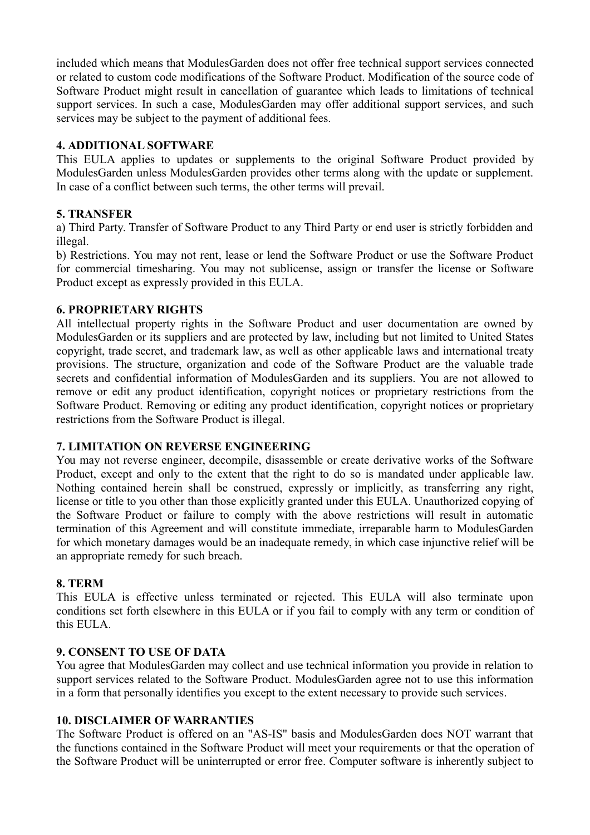included which means that ModulesGarden does not offer free technical support services connected or related to custom code modifications of the Software Product. Modification of the source code of Software Product might result in cancellation of guarantee which leads to limitations of technical support services. In such a case, ModulesGarden may offer additional support services, and such services may be subject to the payment of additional fees.

# **4. ADDITIONAL SOFTWARE**

This EULA applies to updates or supplements to the original Software Product provided by ModulesGarden unless ModulesGarden provides other terms along with the update or supplement. In case of a conflict between such terms, the other terms will prevail.

## **5. TRANSFER**

a) Third Party. Transfer of Software Product to any Third Party or end user is strictly forbidden and illegal.

b) Restrictions. You may not rent, lease or lend the Software Product or use the Software Product for commercial timesharing. You may not sublicense, assign or transfer the license or Software Product except as expressly provided in this EULA.

## **6. PROPRIETARY RIGHTS**

All intellectual property rights in the Software Product and user documentation are owned by ModulesGarden or its suppliers and are protected by law, including but not limited to United States copyright, trade secret, and trademark law, as well as other applicable laws and international treaty provisions. The structure, organization and code of the Software Product are the valuable trade secrets and confidential information of ModulesGarden and its suppliers. You are not allowed to remove or edit any product identification, copyright notices or proprietary restrictions from the Software Product. Removing or editing any product identification, copyright notices or proprietary restrictions from the Software Product is illegal.

## **7. LIMITATION ON REVERSE ENGINEERING**

You may not reverse engineer, decompile, disassemble or create derivative works of the Software Product, except and only to the extent that the right to do so is mandated under applicable law. Nothing contained herein shall be construed, expressly or implicitly, as transferring any right, license or title to you other than those explicitly granted under this EULA. Unauthorized copying of the Software Product or failure to comply with the above restrictions will result in automatic termination of this Agreement and will constitute immediate, irreparable harm to ModulesGarden for which monetary damages would be an inadequate remedy, in which case injunctive relief will be an appropriate remedy for such breach.

## **8. TERM**

This EULA is effective unless terminated or rejected. This EULA will also terminate upon conditions set forth elsewhere in this EULA or if you fail to comply with any term or condition of this EULA.

## **9. CONSENT TO USE OF DATA**

You agree that ModulesGarden may collect and use technical information you provide in relation to support services related to the Software Product. ModulesGarden agree not to use this information in a form that personally identifies you except to the extent necessary to provide such services.

## **10. DISCLAIMER OF WARRANTIES**

The Software Product is offered on an "AS-IS" basis and ModulesGarden does NOT warrant that the functions contained in the Software Product will meet your requirements or that the operation of the Software Product will be uninterrupted or error free. Computer software is inherently subject to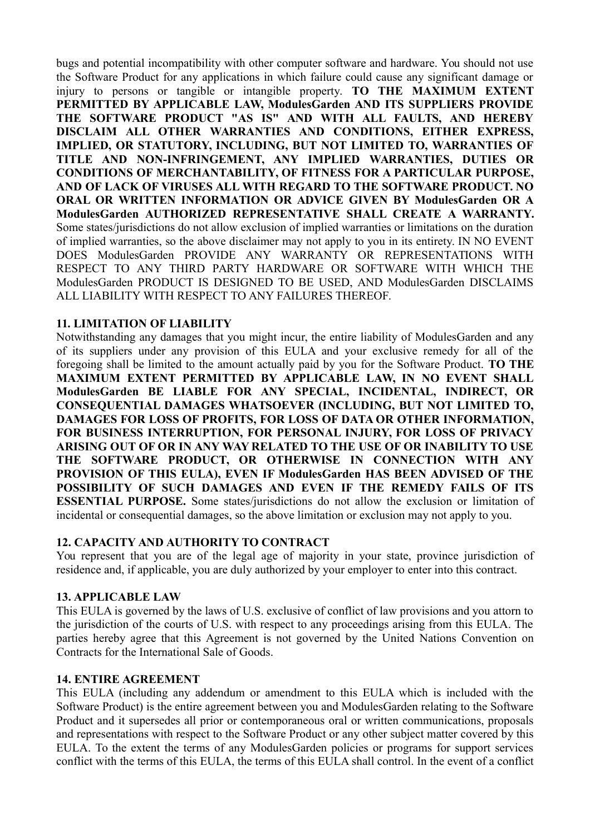bugs and potential incompatibility with other computer software and hardware. You should not use the Software Product for any applications in which failure could cause any significant damage or injury to persons or tangible or intangible property. **TO THE MAXIMUM EXTENT PERMITTED BY APPLICABLE LAW, ModulesGarden AND ITS SUPPLIERS PROVIDE THE SOFTWARE PRODUCT "AS IS" AND WITH ALL FAULTS, AND HEREBY DISCLAIM ALL OTHER WARRANTIES AND CONDITIONS, EITHER EXPRESS, IMPLIED, OR STATUTORY, INCLUDING, BUT NOT LIMITED TO, WARRANTIES OF TITLE AND NON-INFRINGEMENT, ANY IMPLIED WARRANTIES, DUTIES OR CONDITIONS OF MERCHANTABILITY, OF FITNESS FOR A PARTICULAR PURPOSE, AND OF LACK OF VIRUSES ALL WITH REGARD TO THE SOFTWARE PRODUCT. NO ORAL OR WRITTEN INFORMATION OR ADVICE GIVEN BY ModulesGarden OR A ModulesGarden AUTHORIZED REPRESENTATIVE SHALL CREATE A WARRANTY.** Some states/jurisdictions do not allow exclusion of implied warranties or limitations on the duration of implied warranties, so the above disclaimer may not apply to you in its entirety. IN NO EVENT DOES ModulesGarden PROVIDE ANY WARRANTY OR REPRESENTATIONS WITH RESPECT TO ANY THIRD PARTY HARDWARE OR SOFTWARE WITH WHICH THE ModulesGarden PRODUCT IS DESIGNED TO BE USED, AND ModulesGarden DISCLAIMS ALL LIABILITY WITH RESPECT TO ANY FAILURES THEREOF.

## **11. LIMITATION OF LIABILITY**

Notwithstanding any damages that you might incur, the entire liability of ModulesGarden and any of its suppliers under any provision of this EULA and your exclusive remedy for all of the foregoing shall be limited to the amount actually paid by you for the Software Product. **TO THE MAXIMUM EXTENT PERMITTED BY APPLICABLE LAW, IN NO EVENT SHALL ModulesGarden BE LIABLE FOR ANY SPECIAL, INCIDENTAL, INDIRECT, OR CONSEQUENTIAL DAMAGES WHATSOEVER (INCLUDING, BUT NOT LIMITED TO, DAMAGES FOR LOSS OF PROFITS, FOR LOSS OF DATA OR OTHER INFORMATION, FOR BUSINESS INTERRUPTION, FOR PERSONAL INJURY, FOR LOSS OF PRIVACY ARISING OUT OF OR IN ANY WAY RELATED TO THE USE OF OR INABILITY TO USE THE SOFTWARE PRODUCT, OR OTHERWISE IN CONNECTION WITH ANY PROVISION OF THIS EULA), EVEN IF ModulesGarden HAS BEEN ADVISED OF THE POSSIBILITY OF SUCH DAMAGES AND EVEN IF THE REMEDY FAILS OF ITS ESSENTIAL PURPOSE.** Some states/jurisdictions do not allow the exclusion or limitation of incidental or consequential damages, so the above limitation or exclusion may not apply to you.

## **12. CAPACITY AND AUTHORITY TO CONTRACT**

You represent that you are of the legal age of majority in your state, province jurisdiction of residence and, if applicable, you are duly authorized by your employer to enter into this contract.

## **13. APPLICABLE LAW**

This EULA is governed by the laws of U.S. exclusive of conflict of law provisions and you attorn to the jurisdiction of the courts of U.S. with respect to any proceedings arising from this EULA. The parties hereby agree that this Agreement is not governed by the United Nations Convention on Contracts for the International Sale of Goods.

#### **14. ENTIRE AGREEMENT**

This EULA (including any addendum or amendment to this EULA which is included with the Software Product) is the entire agreement between you and ModulesGarden relating to the Software Product and it supersedes all prior or contemporaneous oral or written communications, proposals and representations with respect to the Software Product or any other subject matter covered by this EULA. To the extent the terms of any ModulesGarden policies or programs for support services conflict with the terms of this EULA, the terms of this EULA shall control. In the event of a conflict